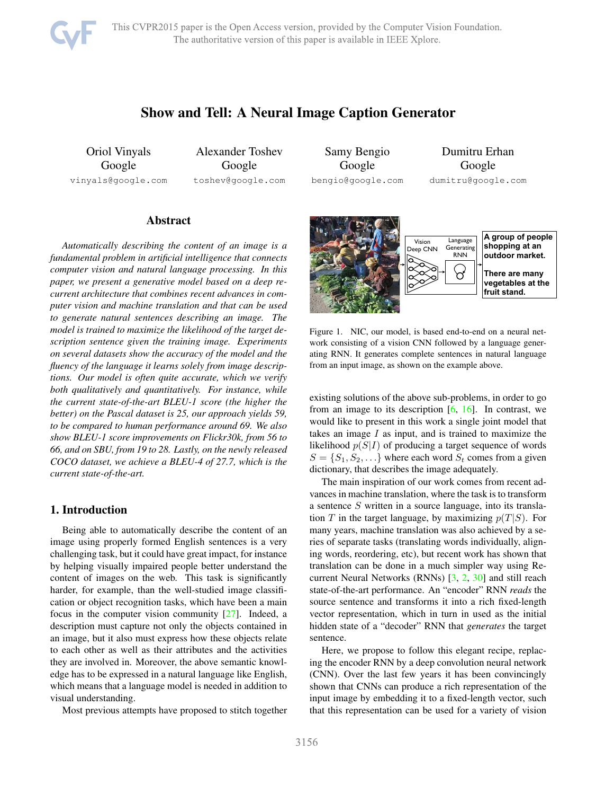<span id="page-0-1"></span>

# Show and Tell: A Neural Image Caption Generator

Oriol Vinyals Google vinyals@google.com

Alexander Toshev Google toshev@google.com

Samy Bengio Google bengio@google.com

Dumitru Erhan Google dumitru@google.com

#### **A group of people**  Vision **Language shopping at an**  Generating Deep CNN RNN **outdoor market.**   $\infty$ **There are many vegetables at the fruit stand.**

<span id="page-0-0"></span>Figure 1. NIC, our model, is based end-to-end on a neural network consisting of a vision CNN followed by a language generating RNN. It generates complete sentences in natural language from an input image, as shown on the example above.

existing solutions of the above sub-problems, in order to go from an image to its description  $[6, 16]$  $[6, 16]$  $[6, 16]$ . In contrast, we would like to present in this work a single joint model that takes an image  $I$  as input, and is trained to maximize the likelihood  $p(S|I)$  of producing a target sequence of words  $S = \{S_1, S_2, \ldots\}$  where each word  $S_t$  comes from a given dictionary, that describes the image adequately.

The main inspiration of our work comes from recent advances in machine translation, where the task is to transform a sentence S written in a source language, into its translation T in the target language, by maximizing  $p(T|S)$ . For many years, machine translation was also achieved by a series of separate tasks (translating words individually, aligning words, reordering, etc), but recent work has shown that translation can be done in a much simpler way using Recurrent Neural Networks (RNNs) [\[3,](#page-8-3) [2,](#page-8-4) [30\]](#page-8-5) and still reach state-of-the-art performance. An "encoder" RNN *reads* the source sentence and transforms it into a rich fixed-length vector representation, which in turn in used as the initial hidden state of a "decoder" RNN that *generates* the target sentence.

Here, we propose to follow this elegant recipe, replacing the encoder RNN by a deep convolution neural network (CNN). Over the last few years it has been convincingly shown that CNNs can produce a rich representation of the input image by embedding it to a fixed-length vector, such that this representation can be used for a variety of vision

# Abstract

*Automatically describing the content of an image is a fundamental problem in artificial intelligence that connects computer vision and natural language processing. In this paper, we present a generative model based on a deep recurrent architecture that combines recent advances in computer vision and machine translation and that can be used to generate natural sentences describing an image. The model is trained to maximize the likelihood of the target description sentence given the training image. Experiments on several datasets show the accuracy of the model and the fluency of the language it learns solely from image descriptions. Our model is often quite accurate, which we verify both qualitatively and quantitatively. For instance, while the current state-of-the-art BLEU-1 score (the higher the better) on the Pascal dataset is 25, our approach yields 59, to be compared to human performance around 69. We also show BLEU-1 score improvements on Flickr30k, from 56 to 66, and on SBU, from 19 to 28. Lastly, on the newly released COCO dataset, we achieve a BLEU-4 of 27.7, which is the current state-of-the-art.*

# 1. Introduction

Being able to automatically describe the content of an image using properly formed English sentences is a very challenging task, but it could have great impact, for instance by helping visually impaired people better understand the content of images on the web. This task is significantly harder, for example, than the well-studied image classification or object recognition tasks, which have been a main focus in the computer vision community [\[27\]](#page-8-0). Indeed, a description must capture not only the objects contained in an image, but it also must express how these objects relate to each other as well as their attributes and the activities they are involved in. Moreover, the above semantic knowledge has to be expressed in a natural language like English, which means that a language model is needed in addition to visual understanding.

Most previous attempts have proposed to stitch together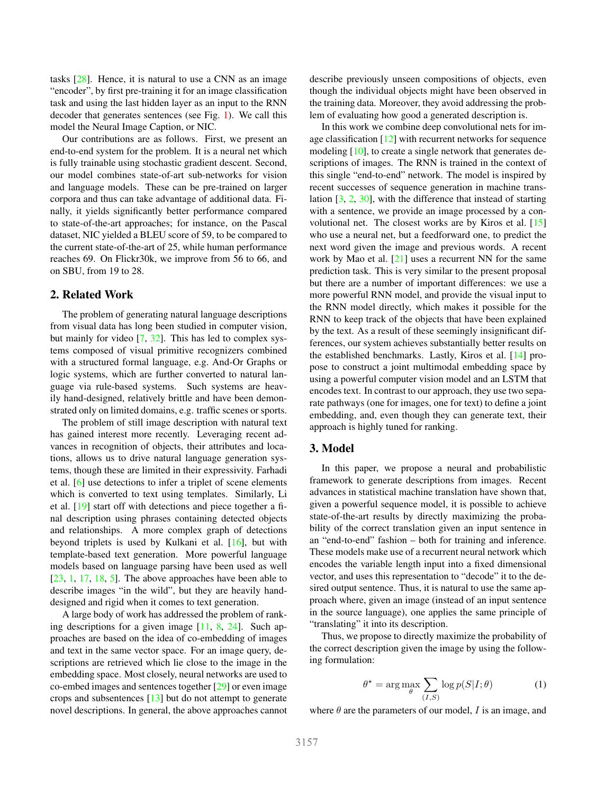<span id="page-1-1"></span>tasks [\[28\]](#page-8-6). Hence, it is natural to use a CNN as an image "encoder", by first pre-training it for an image classification task and using the last hidden layer as an input to the RNN decoder that generates sentences (see Fig. [1\)](#page-0-0). We call this model the Neural Image Caption, or NIC.

Our contributions are as follows. First, we present an end-to-end system for the problem. It is a neural net which is fully trainable using stochastic gradient descent. Second, our model combines state-of-art sub-networks for vision and language models. These can be pre-trained on larger corpora and thus can take advantage of additional data. Finally, it yields significantly better performance compared to state-of-the-art approaches; for instance, on the Pascal dataset, NIC yielded a BLEU score of 59, to be compared to the current state-of-the-art of 25, while human performance reaches 69. On Flickr30k, we improve from 56 to 66, and on SBU, from 19 to 28.

# 2. Related Work

The problem of generating natural language descriptions from visual data has long been studied in computer vision, but mainly for video [\[7,](#page-8-7) [32\]](#page-8-8). This has led to complex systems composed of visual primitive recognizers combined with a structured formal language, e.g. And-Or Graphs or logic systems, which are further converted to natural language via rule-based systems. Such systems are heavily hand-designed, relatively brittle and have been demonstrated only on limited domains, e.g. traffic scenes or sports.

The problem of still image description with natural text has gained interest more recently. Leveraging recent advances in recognition of objects, their attributes and locations, allows us to drive natural language generation systems, though these are limited in their expressivity. Farhadi et al. [\[6\]](#page-8-1) use detections to infer a triplet of scene elements which is converted to text using templates. Similarly, Li et al. [\[19\]](#page-8-9) start off with detections and piece together a final description using phrases containing detected objects and relationships. A more complex graph of detections beyond triplets is used by Kulkani et al. [\[16\]](#page-8-2), but with template-based text generation. More powerful language models based on language parsing have been used as well [\[23,](#page-8-10) [1,](#page-8-11) [17,](#page-8-12) [18,](#page-8-13) [5\]](#page-8-14). The above approaches have been able to describe images "in the wild", but they are heavily handdesigned and rigid when it comes to text generation.

A large body of work has addressed the problem of ranking descriptions for a given image  $[11, 8, 24]$  $[11, 8, 24]$  $[11, 8, 24]$  $[11, 8, 24]$  $[11, 8, 24]$ . Such approaches are based on the idea of co-embedding of images and text in the same vector space. For an image query, descriptions are retrieved which lie close to the image in the embedding space. Most closely, neural networks are used to co-embed images and sentences together [\[29\]](#page-8-18) or even image crops and subsentences [\[13\]](#page-8-19) but do not attempt to generate novel descriptions. In general, the above approaches cannot

describe previously unseen compositions of objects, even though the individual objects might have been observed in the training data. Moreover, they avoid addressing the problem of evaluating how good a generated description is.

In this work we combine deep convolutional nets for image classification [\[12\]](#page-8-20) with recurrent networks for sequence modeling [\[10\]](#page-8-21), to create a single network that generates descriptions of images. The RNN is trained in the context of this single "end-to-end" network. The model is inspired by recent successes of sequence generation in machine translation [\[3,](#page-8-3) [2,](#page-8-4) [30\]](#page-8-5), with the difference that instead of starting with a sentence, we provide an image processed by a convolutional net. The closest works are by Kiros et al. [\[15\]](#page-8-22) who use a neural net, but a feedforward one, to predict the next word given the image and previous words. A recent work by Mao et al.  $[21]$  uses a recurrent NN for the same prediction task. This is very similar to the present proposal but there are a number of important differences: we use a more powerful RNN model, and provide the visual input to the RNN model directly, which makes it possible for the RNN to keep track of the objects that have been explained by the text. As a result of these seemingly insignificant differences, our system achieves substantially better results on the established benchmarks. Lastly, Kiros et al. [\[14\]](#page-8-24) propose to construct a joint multimodal embedding space by using a powerful computer vision model and an LSTM that encodes text. In contrast to our approach, they use two separate pathways (one for images, one for text) to define a joint embedding, and, even though they can generate text, their approach is highly tuned for ranking.

# 3. Model

In this paper, we propose a neural and probabilistic framework to generate descriptions from images. Recent advances in statistical machine translation have shown that, given a powerful sequence model, it is possible to achieve state-of-the-art results by directly maximizing the probability of the correct translation given an input sentence in an "end-to-end" fashion – both for training and inference. These models make use of a recurrent neural network which encodes the variable length input into a fixed dimensional vector, and uses this representation to "decode" it to the desired output sentence. Thus, it is natural to use the same approach where, given an image (instead of an input sentence in the source language), one applies the same principle of "translating" it into its description.

Thus, we propose to directly maximize the probability of the correct description given the image by using the following formulation:

<span id="page-1-0"></span>
$$
\theta^* = \arg \max_{\theta} \sum_{(I,S)} \log p(S|I; \theta)
$$
 (1)

where  $\theta$  are the parameters of our model, I is an image, and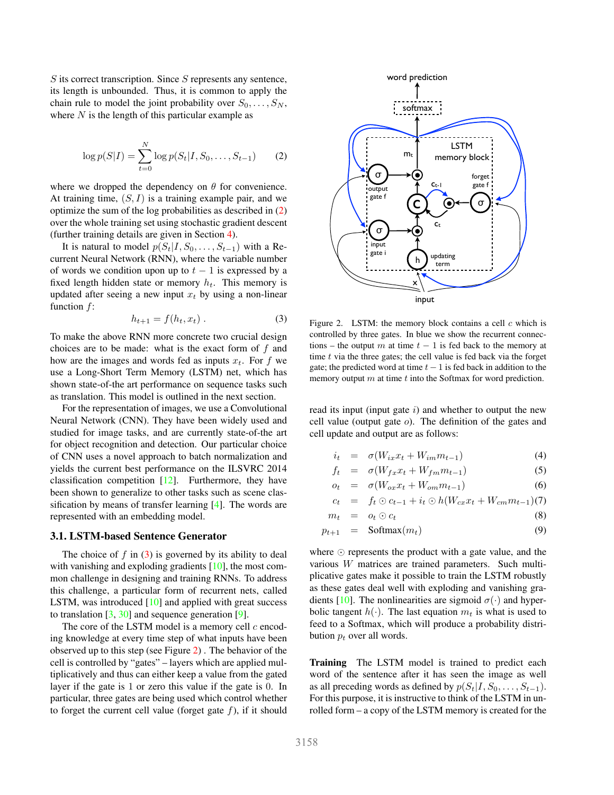<span id="page-2-3"></span> $S$  its correct transcription. Since  $S$  represents any sentence, its length is unbounded. Thus, it is common to apply the chain rule to model the joint probability over  $S_0, \ldots, S_N$ , where  $N$  is the length of this particular example as

<span id="page-2-0"></span>
$$
\log p(S|I) = \sum_{t=0}^{N} \log p(S_t|I, S_0, \dots, S_{t-1})
$$
 (2)

where we dropped the dependency on  $\theta$  for convenience. At training time,  $(S, I)$  is a training example pair, and we optimize the sum of the log probabilities as described in [\(2\)](#page-2-0) over the whole training set using stochastic gradient descent (further training details are given in Section [4\)](#page-3-0).

It is natural to model  $p(S_t|I, S_0, \ldots, S_{t-1})$  with a Recurrent Neural Network (RNN), where the variable number of words we condition upon up to  $t - 1$  is expressed by a fixed length hidden state or memory  $h_t$ . This memory is updated after seeing a new input  $x_t$  by using a non-linear function  $f$ :

<span id="page-2-1"></span>
$$
h_{t+1} = f(h_t, x_t) . \tag{3}
$$

To make the above RNN more concrete two crucial design choices are to be made: what is the exact form of  $f$  and how are the images and words fed as inputs  $x_t$ . For f we use a Long-Short Term Memory (LSTM) net, which has shown state-of-the art performance on sequence tasks such as translation. This model is outlined in the next section.

For the representation of images, we use a Convolutional Neural Network (CNN). They have been widely used and studied for image tasks, and are currently state-of-the art for object recognition and detection. Our particular choice of CNN uses a novel approach to batch normalization and yields the current best performance on the ILSVRC 2014 classification competition [\[12\]](#page-8-20). Furthermore, they have been shown to generalize to other tasks such as scene classification by means of transfer learning [\[4\]](#page-8-25). The words are represented with an embedding model.

## 3.1. LSTM-based Sentence Generator

The choice of  $f$  in  $(3)$  is governed by its ability to deal with vanishing and exploding gradients  $[10]$ , the most common challenge in designing and training RNNs. To address this challenge, a particular form of recurrent nets, called LSTM, was introduced [\[10\]](#page-8-21) and applied with great success to translation [\[3,](#page-8-3) [30\]](#page-8-5) and sequence generation [\[9\]](#page-8-26).

The core of the LSTM model is a memory cell  $c$  encoding knowledge at every time step of what inputs have been observed up to this step (see Figure [2\)](#page-2-2) . The behavior of the cell is controlled by "gates" – layers which are applied multiplicatively and thus can either keep a value from the gated layer if the gate is 1 or zero this value if the gate is 0. In particular, three gates are being used which control whether to forget the current cell value (forget gate  $f$ ), if it should



<span id="page-2-2"></span>Figure 2. LSTM: the memory block contains a cell  $c$  which is controlled by three gates. In blue we show the recurrent connections – the output m at time  $t - 1$  is fed back to the memory at time  $t$  via the three gates; the cell value is fed back via the forget gate; the predicted word at time  $t - 1$  is fed back in addition to the memory output  $m$  at time  $t$  into the Softmax for word prediction.

read its input (input gate  $i$ ) and whether to output the new cell value (output gate o). The definition of the gates and cell update and output are as follows:

$$
i_t = \sigma(W_{ix}x_t + W_{im}m_{t-1}) \tag{4}
$$

$$
f_t = \sigma(W_{fx}x_t + W_{fm}m_{t-1}) \tag{5}
$$

$$
o_t = \sigma(W_{ox}x_t + W_{om}m_{t-1}) \tag{6}
$$

$$
c_t = f_t \odot c_{t-1} + i_t \odot h(W_{cx}x_t + W_{cm}m_{t-1})(7)
$$

$$
m_t = o_t \odot c_t \tag{8}
$$

$$
p_{t+1} = \text{Softmax}(m_t) \tag{9}
$$

where  $\odot$  represents the product with a gate value, and the various W matrices are trained parameters. Such multiplicative gates make it possible to train the LSTM robustly as these gates deal well with exploding and vanishing gra-dients [\[10\]](#page-8-21). The nonlinearities are sigmoid  $\sigma(\cdot)$  and hyperbolic tangent  $h(\cdot)$ . The last equation  $m_t$  is what is used to feed to a Softmax, which will produce a probability distribution  $p_t$  over all words.

Training The LSTM model is trained to predict each word of the sentence after it has seen the image as well as all preceding words as defined by  $p(S_t|I, S_0, \ldots, S_{t-1})$ . For this purpose, it is instructive to think of the LSTM in unrolled form – a copy of the LSTM memory is created for the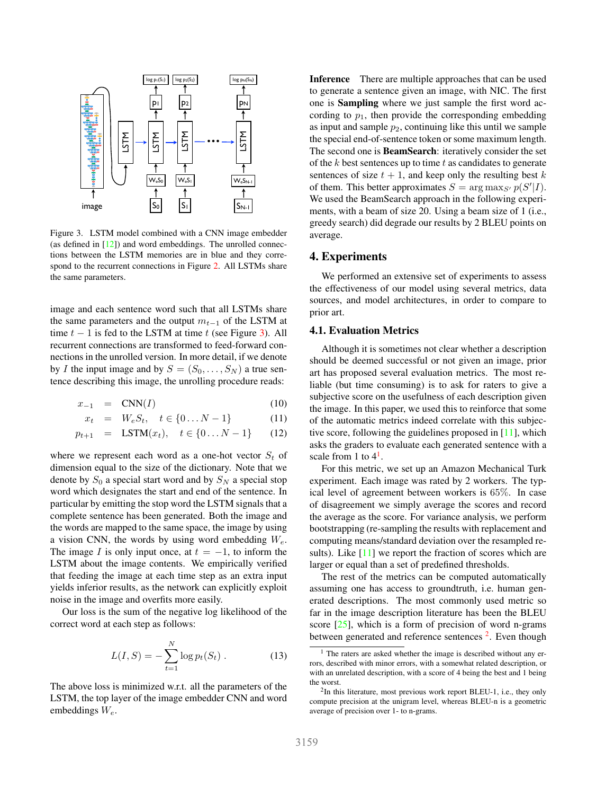<span id="page-3-4"></span>

<span id="page-3-1"></span>Figure 3. LSTM model combined with a CNN image embedder (as defined in [\[12\]](#page-8-20)) and word embeddings. The unrolled connections between the LSTM memories are in blue and they correspond to the recurrent connections in Figure [2.](#page-2-2) All LSTMs share the same parameters.

image and each sentence word such that all LSTMs share the same parameters and the output  $m_{t-1}$  of the LSTM at time  $t - 1$  is fed to the LSTM at time t (see Figure [3\)](#page-3-1). All recurrent connections are transformed to feed-forward connections in the unrolled version. In more detail, if we denote by I the input image and by  $S = (S_0, \ldots, S_N)$  a true sentence describing this image, the unrolling procedure reads:

$$
x_{-1} = \text{CNN}(I) \tag{10}
$$

$$
x_t = W_e S_t, \quad t \in \{0...N-1\}
$$
 (11)

$$
p_{t+1} = \text{LSTM}(x_t), \quad t \in \{0...N-1\} \tag{12}
$$

where we represent each word as a one-hot vector  $S_t$  of dimension equal to the size of the dictionary. Note that we denote by  $S_0$  a special start word and by  $S_N$  a special stop word which designates the start and end of the sentence. In particular by emitting the stop word the LSTM signals that a complete sentence has been generated. Both the image and the words are mapped to the same space, the image by using a vision CNN, the words by using word embedding  $W_e$ . The image I is only input once, at  $t = -1$ , to inform the LSTM about the image contents. We empirically verified that feeding the image at each time step as an extra input yields inferior results, as the network can explicitly exploit noise in the image and overfits more easily.

Our loss is the sum of the negative log likelihood of the correct word at each step as follows:

$$
L(I, S) = -\sum_{t=1}^{N} \log p_t(S_t) .
$$
 (13)

The above loss is minimized w.r.t. all the parameters of the LSTM, the top layer of the image embedder CNN and word embeddings  $W_e$ .

Inference There are multiple approaches that can be used to generate a sentence given an image, with NIC. The first one is Sampling where we just sample the first word according to  $p_1$ , then provide the corresponding embedding as input and sample  $p_2$ , continuing like this until we sample the special end-of-sentence token or some maximum length. The second one is BeamSearch: iteratively consider the set of the  $k$  best sentences up to time  $t$  as candidates to generate sentences of size  $t + 1$ , and keep only the resulting best k of them. This better approximates  $S = \arg \max_{S'} p(S'|I)$ . We used the BeamSearch approach in the following experiments, with a beam of size 20. Using a beam size of 1 (i.e., greedy search) did degrade our results by 2 BLEU points on average.

#### <span id="page-3-0"></span>4. Experiments

We performed an extensive set of experiments to assess the effectiveness of our model using several metrics, data sources, and model architectures, in order to compare to prior art.

#### 4.1. Evaluation Metrics

Although it is sometimes not clear whether a description should be deemed successful or not given an image, prior art has proposed several evaluation metrics. The most reliable (but time consuming) is to ask for raters to give a subjective score on the usefulness of each description given the image. In this paper, we used this to reinforce that some of the automatic metrics indeed correlate with this subjective score, following the guidelines proposed in [\[11\]](#page-8-15), which asks the graders to evaluate each generated sentence with a scale from [1](#page-3-2) to  $4<sup>1</sup>$ .

For this metric, we set up an Amazon Mechanical Turk experiment. Each image was rated by 2 workers. The typical level of agreement between workers is 65%. In case of disagreement we simply average the scores and record the average as the score. For variance analysis, we perform bootstrapping (re-sampling the results with replacement and computing means/standard deviation over the resampled re-sults). Like [\[11\]](#page-8-15) we report the fraction of scores which are larger or equal than a set of predefined thresholds.

The rest of the metrics can be computed automatically assuming one has access to groundtruth, i.e. human generated descriptions. The most commonly used metric so far in the image description literature has been the BLEU score  $[25]$ , which is a form of precision of word n-grams between generated and reference sentences<sup>[2](#page-3-3)</sup>. Even though

<span id="page-3-2"></span><sup>&</sup>lt;sup>1</sup> The raters are asked whether the image is described without any errors, described with minor errors, with a somewhat related description, or with an unrelated description, with a score of 4 being the best and 1 being the worst.

<span id="page-3-3"></span> $2$ In this literature, most previous work report BLEU-1, i.e., they only compute precision at the unigram level, whereas BLEU-n is a geometric average of precision over 1- to n-grams.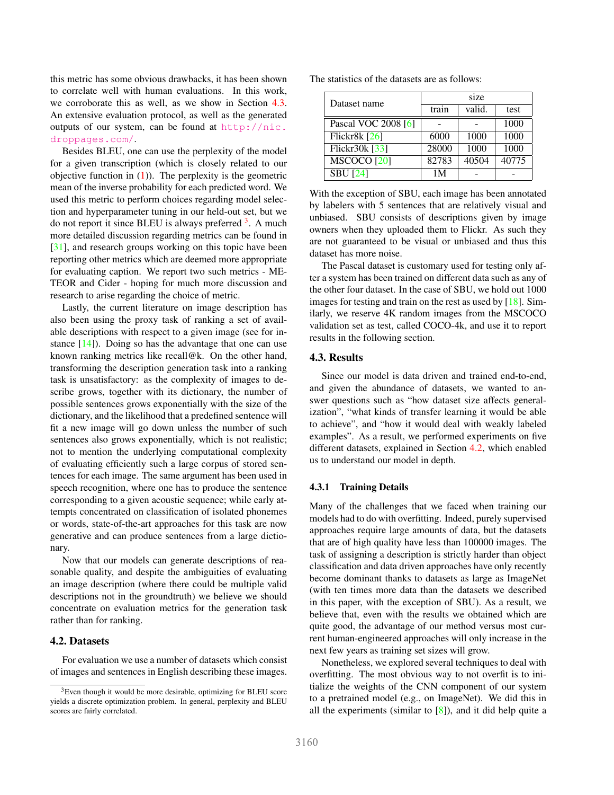<span id="page-4-3"></span>this metric has some obvious drawbacks, it has been shown to correlate well with human evaluations. In this work, we corroborate this as well, as we show in Section [4.3.](#page-4-0) An extensive evaluation protocol, as well as the generated outputs of our system, can be found at [http://nic.](http://nic.droppages.com/) [droppages.com/](http://nic.droppages.com/).

Besides BLEU, one can use the perplexity of the model for a given transcription (which is closely related to our objective function in  $(1)$ ). The perplexity is the geometric mean of the inverse probability for each predicted word. We used this metric to perform choices regarding model selection and hyperparameter tuning in our held-out set, but we do not report it since BLEU is always preferred <sup>[3](#page-4-1)</sup>. A much more detailed discussion regarding metrics can be found in [\[31\]](#page-8-28), and research groups working on this topic have been reporting other metrics which are deemed more appropriate for evaluating caption. We report two such metrics - ME-TEOR and Cider - hoping for much more discussion and research to arise regarding the choice of metric.

Lastly, the current literature on image description has also been using the proxy task of ranking a set of available descriptions with respect to a given image (see for instance  $[14]$ ). Doing so has the advantage that one can use known ranking metrics like recall@k. On the other hand, transforming the description generation task into a ranking task is unsatisfactory: as the complexity of images to describe grows, together with its dictionary, the number of possible sentences grows exponentially with the size of the dictionary, and the likelihood that a predefined sentence will fit a new image will go down unless the number of such sentences also grows exponentially, which is not realistic; not to mention the underlying computational complexity of evaluating efficiently such a large corpus of stored sentences for each image. The same argument has been used in speech recognition, where one has to produce the sentence corresponding to a given acoustic sequence; while early attempts concentrated on classification of isolated phonemes or words, state-of-the-art approaches for this task are now generative and can produce sentences from a large dictionary.

Now that our models can generate descriptions of reasonable quality, and despite the ambiguities of evaluating an image description (where there could be multiple valid descriptions not in the groundtruth) we believe we should concentrate on evaluation metrics for the generation task rather than for ranking.

### <span id="page-4-2"></span>4.2. Datasets

For evaluation we use a number of datasets which consist of images and sentences in English describing these images.

The statistics of the datasets are as follows:

| Dataset name           | size  |        |       |  |
|------------------------|-------|--------|-------|--|
|                        | train | valid. | test  |  |
| Pascal VOC 2008 [6]    |       |        | 1000  |  |
| Flickr8k $[26]$        | 6000  | 1000   | 1000  |  |
| Flickr $30k$ [33]      | 28000 | 1000   | 1000  |  |
| MSCOCO <sup>[20]</sup> | 82783 | 40504  | 40775 |  |
| <b>SBU</b> [24]        | 1 M   |        |       |  |

With the exception of SBU, each image has been annotated by labelers with 5 sentences that are relatively visual and unbiased. SBU consists of descriptions given by image owners when they uploaded them to Flickr. As such they are not guaranteed to be visual or unbiased and thus this dataset has more noise.

The Pascal dataset is customary used for testing only after a system has been trained on different data such as any of the other four dataset. In the case of SBU, we hold out 1000 images for testing and train on the rest as used by  $[18]$ . Similarly, we reserve 4K random images from the MSCOCO validation set as test, called COCO-4k, and use it to report results in the following section.

# <span id="page-4-0"></span>4.3. Results

Since our model is data driven and trained end-to-end, and given the abundance of datasets, we wanted to answer questions such as "how dataset size affects generalization", "what kinds of transfer learning it would be able to achieve", and "how it would deal with weakly labeled examples". As a result, we performed experiments on five different datasets, explained in Section [4.2,](#page-4-2) which enabled us to understand our model in depth.

#### 4.3.1 Training Details

Many of the challenges that we faced when training our models had to do with overfitting. Indeed, purely supervised approaches require large amounts of data, but the datasets that are of high quality have less than 100000 images. The task of assigning a description is strictly harder than object classification and data driven approaches have only recently become dominant thanks to datasets as large as ImageNet (with ten times more data than the datasets we described in this paper, with the exception of SBU). As a result, we believe that, even with the results we obtained which are quite good, the advantage of our method versus most current human-engineered approaches will only increase in the next few years as training set sizes will grow.

Nonetheless, we explored several techniques to deal with overfitting. The most obvious way to not overfit is to initialize the weights of the CNN component of our system to a pretrained model (e.g., on ImageNet). We did this in all the experiments (similar to  $[8]$ ), and it did help quite a

<span id="page-4-1"></span><sup>&</sup>lt;sup>3</sup>Even though it would be more desirable, optimizing for BLEU score yields a discrete optimization problem. In general, perplexity and BLEU scores are fairly correlated.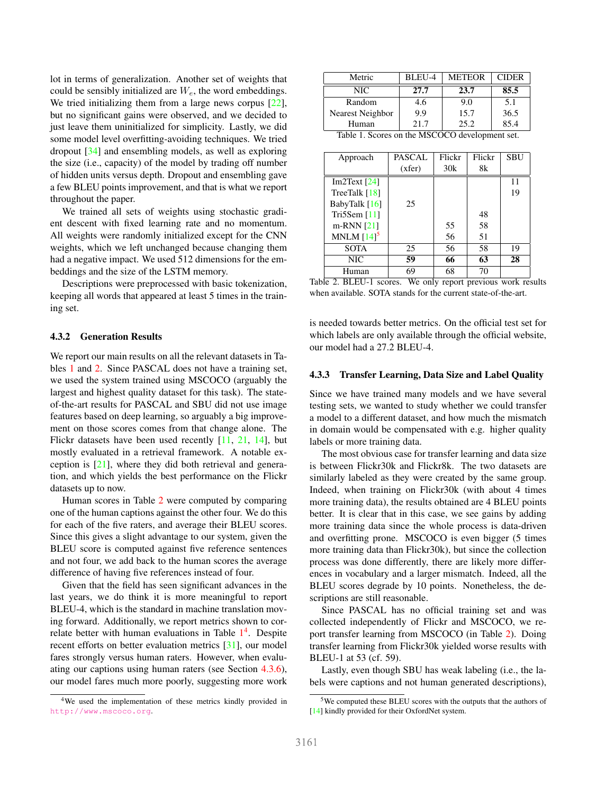<span id="page-5-4"></span>lot in terms of generalization. Another set of weights that could be sensibly initialized are  $W_e$ , the word embeddings. We tried initializing them from a large news corpus [\[22\]](#page-8-32), but no significant gains were observed, and we decided to just leave them uninitialized for simplicity. Lastly, we did some model level overfitting-avoiding techniques. We tried dropout [\[34\]](#page-8-33) and ensembling models, as well as exploring the size (i.e., capacity) of the model by trading off number of hidden units versus depth. Dropout and ensembling gave a few BLEU points improvement, and that is what we report throughout the paper.

We trained all sets of weights using stochastic gradient descent with fixed learning rate and no momentum. All weights were randomly initialized except for the CNN weights, which we left unchanged because changing them had a negative impact. We used 512 dimensions for the embeddings and the size of the LSTM memory.

Descriptions were preprocessed with basic tokenization, keeping all words that appeared at least 5 times in the training set.

#### 4.3.2 Generation Results

We report our main results on all the relevant datasets in Tables [1](#page-5-0) and [2.](#page-5-1) Since PASCAL does not have a training set, we used the system trained using MSCOCO (arguably the largest and highest quality dataset for this task). The stateof-the-art results for PASCAL and SBU did not use image features based on deep learning, so arguably a big improvement on those scores comes from that change alone. The Flickr datasets have been used recently [\[11,](#page-8-15) [21,](#page-8-23) [14\]](#page-8-24), but mostly evaluated in a retrieval framework. A notable exception is [\[21\]](#page-8-23), where they did both retrieval and generation, and which yields the best performance on the Flickr datasets up to now.

Human scores in Table [2](#page-5-1) were computed by comparing one of the human captions against the other four. We do this for each of the five raters, and average their BLEU scores. Since this gives a slight advantage to our system, given the BLEU score is computed against five reference sentences and not four, we add back to the human scores the average difference of having five references instead of four.

Given that the field has seen significant advances in the last years, we do think it is more meaningful to report BLEU-4, which is the standard in machine translation moving forward. Additionally, we report metrics shown to cor-relate better with human evaluations in Table [1](#page-5-0)<sup>[4](#page-5-2)</sup>. Despite recent efforts on better evaluation metrics [\[31\]](#page-8-28), our model fares strongly versus human raters. However, when evaluating our captions using human raters (see Section [4.3.6\)](#page-6-0), our model fares much more poorly, suggesting more work

| Metric                                         | BLEU-4 | <b>METEOR</b> | <b>CIDER</b> |  |
|------------------------------------------------|--------|---------------|--------------|--|
| NIC.                                           | 27.7   | 23.7          | 85.5         |  |
| Random                                         | 4.6    | 9.0           | 5.1          |  |
| Nearest Neighbor                               | 9.9    | 15.7          | 36.5         |  |
| Human                                          | 21.7   | 25.2          | 85.4         |  |
| Table 1. Scores on the MSCOCO development set. |        |               |              |  |

<span id="page-5-0"></span>

| Approach                 | <b>PASCAL</b>    | Flickr | Flickr | <b>SBU</b> |
|--------------------------|------------------|--------|--------|------------|
|                          | (xfer)           | 30k    | 8k     |            |
| Im2Text [24]             |                  |        |        | 11         |
| TreeTalk $[18]$          |                  |        |        | 19         |
| BabyTalk [16]            | 25               |        |        |            |
| Tri5Sem $[11]$           |                  |        | 48     |            |
| $m-RNN$ [21]             |                  | 55     | 58     |            |
| MNLM $[14]$ <sup>5</sup> |                  | 56     | 51     |            |
| <b>SOTA</b>              | 25               | 56     | 58     | 19         |
| NIC.                     | 59               | 66     | 63     | 28         |
| Human                    | 69               | 68     | 70     |            |
| DI DIL 1<br>$\sim$       | п.<br><b>TTT</b> |        |        | п.         |

<span id="page-5-1"></span>Table 2. BLEU-1 scores. We only report previous work results when available. SOTA stands for the current state-of-the-art.

is needed towards better metrics. On the official test set for which labels are only available through the official website, our model had a 27.2 BLEU-4.

## 4.3.3 Transfer Learning, Data Size and Label Quality

Since we have trained many models and we have several testing sets, we wanted to study whether we could transfer a model to a different dataset, and how much the mismatch in domain would be compensated with e.g. higher quality labels or more training data.

The most obvious case for transfer learning and data size is between Flickr30k and Flickr8k. The two datasets are similarly labeled as they were created by the same group. Indeed, when training on Flickr30k (with about 4 times more training data), the results obtained are 4 BLEU points better. It is clear that in this case, we see gains by adding more training data since the whole process is data-driven and overfitting prone. MSCOCO is even bigger (5 times more training data than Flickr30k), but since the collection process was done differently, there are likely more differences in vocabulary and a larger mismatch. Indeed, all the BLEU scores degrade by 10 points. Nonetheless, the descriptions are still reasonable.

Since PASCAL has no official training set and was collected independently of Flickr and MSCOCO, we report transfer learning from MSCOCO (in Table [2\)](#page-5-1). Doing transfer learning from Flickr30k yielded worse results with BLEU-1 at 53 (cf. 59).

Lastly, even though SBU has weak labeling (i.e., the labels were captions and not human generated descriptions),

<span id="page-5-2"></span><sup>4</sup>We used the implementation of these metrics kindly provided in <http://www.mscoco.org>.

<span id="page-5-3"></span><sup>5</sup>We computed these BLEU scores with the outputs that the authors of [\[14\]](#page-8-24) kindly provided for their OxfordNet system.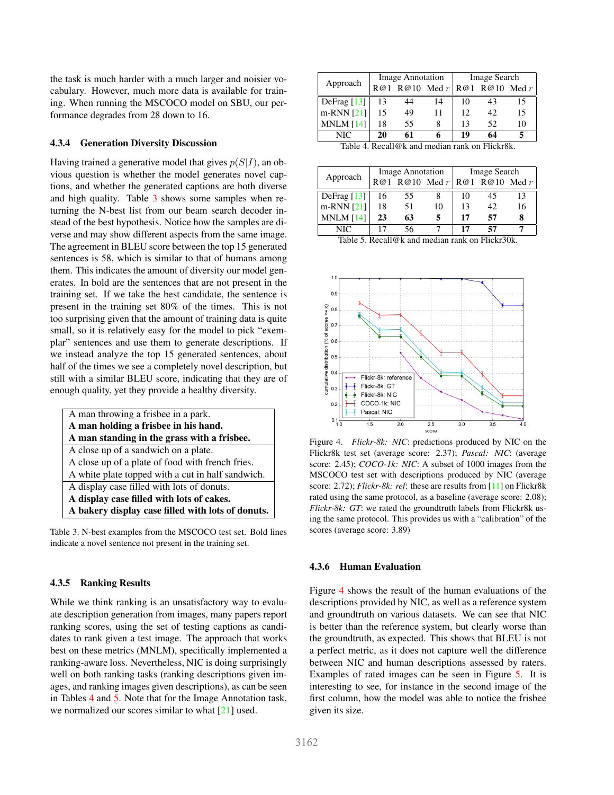<span id="page-6-5"></span>the task is much harder with a much larger and noisier vocabulary. However, much more data is available for training. When running the MSCOCO model on SBU, our performance degrades from 28 down to 16.

# 4.3.4 Generation Diversity Discussion

Having trained a generative model that gives  $p(S|I)$ , an obvious question is whether the model generates novel captions, and whether the generated captions are both diverse and high quality. Table [3](#page-6-1) shows some samples when returning the N-best list from our beam search decoder instead of the best hypothesis. Notice how the samples are diverse and may show different aspects from the same image. The agreement in BLEU score between the top 15 generated sentences is 58, which is similar to that of humans among them. This indicates the amount of diversity our model generates. In bold are the sentences that are not present in the training set. If we take the best candidate, the sentence is present in the training set 80% of the times. This is not too surprising given that the amount of training data is quite small, so it is relatively easy for the model to pick "exemplar" sentences and use them to generate descriptions. If we instead analyze the top 15 generated sentences, about half of the times we see a completely novel description, but still with a similar BLEU score, indicating that they are of enough quality, yet they provide a healthy diversity.

| A man throwing a frisbee in a park.               |  |  |
|---------------------------------------------------|--|--|
| A man holding a frisbee in his hand.              |  |  |
| A man standing in the grass with a frisbee.       |  |  |
| A close up of a sandwich on a plate.              |  |  |
| A close up of a plate of food with french fries.  |  |  |
| A white plate topped with a cut in half sandwich. |  |  |
| A display case filled with lots of donuts.        |  |  |
| A display case filled with lots of cakes.         |  |  |
| A bakery display case filled with lots of donuts. |  |  |

<span id="page-6-1"></span>Table 3. N-best examples from the MSCOCO test set. Bold lines indicate a novel sentence not present in the training set.

#### 4.3.5 Ranking Results

While we think ranking is an unsatisfactory way to evaluate description generation from images, many papers report ranking scores, using the set of testing captions as candidates to rank given a test image. The approach that works best on these metrics (MNLM), specifically implemented a ranking-aware loss. Nevertheless, NIC is doing surprisingly well on both ranking tasks (ranking descriptions given images, and ranking images given descriptions), as can be seen in Tables [4](#page-6-2) and [5.](#page-6-3) Note that for the Image Annotation task, we normalized our scores similar to what [\[21\]](#page-8-23) used.

| Approach                                       | <b>Image Annotation</b> |    |              | <b>Image Search</b> |              |    |
|------------------------------------------------|-------------------------|----|--------------|---------------------|--------------|----|
|                                                | R@1                     |    | $R@10$ Med r | R@1                 | $R@10$ Med r |    |
| DeFrag $[13]$                                  | 13                      | 44 | 14           | 10                  | 43           | 15 |
| $m-RNN$ [21]                                   | 15                      | 49 | 11           | 12 <sup>2</sup>     | 42           | 15 |
| MNLM $[14]$                                    | 18                      | 55 | 8            | 13                  | 52           | 10 |
| NIC.                                           | 20                      | 61 | 6            | 19                  | 64           | 5  |
| Table 4. Recall@k and median rank on Flickr8k. |                         |    |              |                     |              |    |

<span id="page-6-2"></span>

|                  | <b>Image Annotation</b> |    |    | Image Search |                                 |    |
|------------------|-------------------------|----|----|--------------|---------------------------------|----|
| Approach         | R@1                     |    |    |              | $R@10$ Med $r/R@1$ R@10 Med $r$ |    |
| DeFrag $[13]$    | 16                      | 55 |    | 10           | 45                              | 13 |
| $m-RNN$ [21]     | 18                      | 51 | 10 | 13           | 42                              | 16 |
| <b>MNLM</b> [14] | 23                      | 63 |    | 17           | 57                              | 8  |
| NIC.             |                         | 56 |    | 17           | 57                              |    |

<span id="page-6-3"></span>Table 5. Recall@k and median rank on Flickr30k.



<span id="page-6-4"></span>Figure 4. *Flickr-8k: NIC*: predictions produced by NIC on the Flickr8k test set (average score: 2.37); *Pascal: NIC*: (average score: 2.45); *COCO-1k: NIC*: A subset of 1000 images from the MSCOCO test set with descriptions produced by NIC (average score: 2.72); *Flickr-8k: ref*: these are results from [\[11\]](#page-8-15) on Flickr8k rated using the same protocol, as a baseline (average score: 2.08); *Flickr-8k: GT:* we rated the groundtruth labels from Flickr8k using the same protocol. This provides us with a "calibration" of the scores (average score: 3.89)

#### <span id="page-6-0"></span>4.3.6 Human Evaluation

Figure [4](#page-6-4) shows the result of the human evaluations of the descriptions provided by NIC, as well as a reference system and groundtruth on various datasets. We can see that NIC is better than the reference system, but clearly worse than the groundtruth, as expected. This shows that BLEU is not a perfect metric, as it does not capture well the difference between NIC and human descriptions assessed by raters. Examples of rated images can be seen in Figure [5.](#page-7-0) It is interesting to see, for instance in the second image of the first column, how the model was able to notice the frisbee given its size.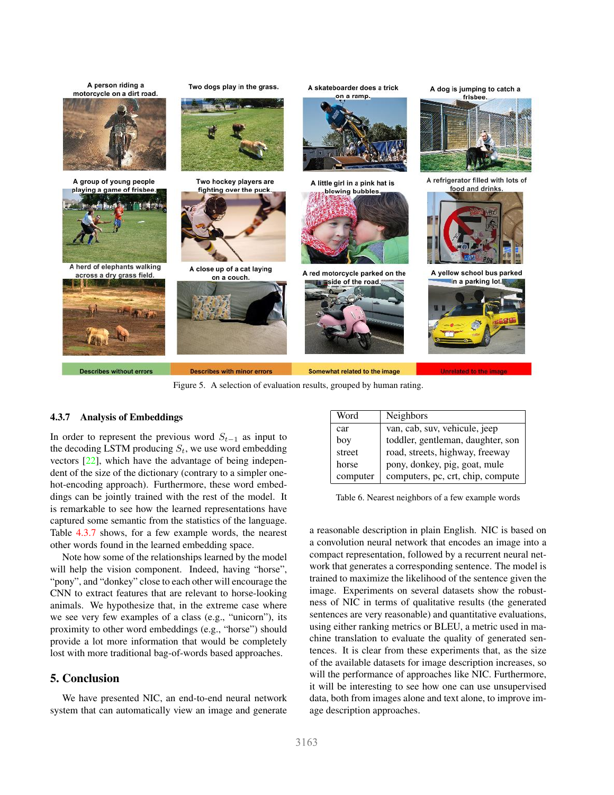<span id="page-7-2"></span>

<span id="page-7-0"></span>Figure 5. A selection of evaluation results, grouped by human rating.

#### <span id="page-7-1"></span>4.3.7 Analysis of Embeddings

In order to represent the previous word  $S_{t-1}$  as input to the decoding LSTM producing  $S_t$ , we use word embedding vectors [\[22\]](#page-8-32), which have the advantage of being independent of the size of the dictionary (contrary to a simpler onehot-encoding approach). Furthermore, these word embeddings can be jointly trained with the rest of the model. It is remarkable to see how the learned representations have captured some semantic from the statistics of the language. Table [4.3.7](#page-7-1) shows, for a few example words, the nearest other words found in the learned embedding space.

Note how some of the relationships learned by the model will help the vision component. Indeed, having "horse", "pony", and "donkey" close to each other will encourage the CNN to extract features that are relevant to horse-looking animals. We hypothesize that, in the extreme case where we see very few examples of a class (e.g., "unicorn"), its proximity to other word embeddings (e.g., "horse") should provide a lot more information that would be completely lost with more traditional bag-of-words based approaches.

# 5. Conclusion

We have presented NIC, an end-to-end neural network system that can automatically view an image and generate

| Word     | Neighbors                         |
|----------|-----------------------------------|
| car      | van, cab, suv, vehicule, jeep     |
| boy      | toddler, gentleman, daughter, son |
| street   | road, streets, highway, freeway   |
| horse    | pony, donkey, pig, goat, mule     |
| computer | computers, pc, crt, chip, compute |

Table 6. Nearest neighbors of a few example words

a reasonable description in plain English. NIC is based on a convolution neural network that encodes an image into a compact representation, followed by a recurrent neural network that generates a corresponding sentence. The model is trained to maximize the likelihood of the sentence given the image. Experiments on several datasets show the robustness of NIC in terms of qualitative results (the generated sentences are very reasonable) and quantitative evaluations, using either ranking metrics or BLEU, a metric used in machine translation to evaluate the quality of generated sentences. It is clear from these experiments that, as the size of the available datasets for image description increases, so will the performance of approaches like NIC. Furthermore, it will be interesting to see how one can use unsupervised data, both from images alone and text alone, to improve image description approaches.